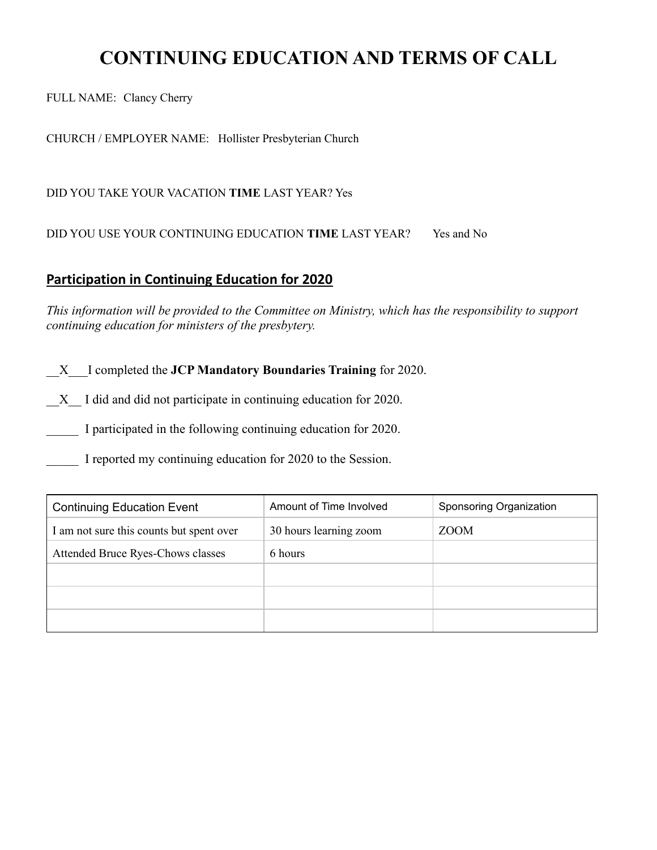# **CONTINUING EDUCATION AND TERMS OF CALL**

FULL NAME: Clancy Cherry

CHURCH / EMPLOYER NAME: Hollister Presbyterian Church

DID YOU TAKE YOUR VACATION **TIME** LAST YEAR? Yes

DID YOU USE YOUR CONTINUING EDUCATION **TIME** LAST YEAR? Yes and No

### **Participation in Continuing Education for 2020**

*This information will be provided to the Committee on Ministry, which has the responsibility to support continuing education for ministers of the presbytery.* 

\_\_X\_\_\_I completed the **JCP Mandatory Boundaries Training** for 2020.

\_\_X\_\_ I did and did not participate in continuing education for 2020.

I participated in the following continuing education for 2020.

I reported my continuing education for 2020 to the Session.

| <b>Continuing Education Event</b>        | Amount of Time Involved | Sponsoring Organization |
|------------------------------------------|-------------------------|-------------------------|
| I am not sure this counts but spent over | 30 hours learning zoom  | ZOOM                    |
| Attended Bruce Ryes-Chows classes        | 6 hours                 |                         |
|                                          |                         |                         |
|                                          |                         |                         |
|                                          |                         |                         |